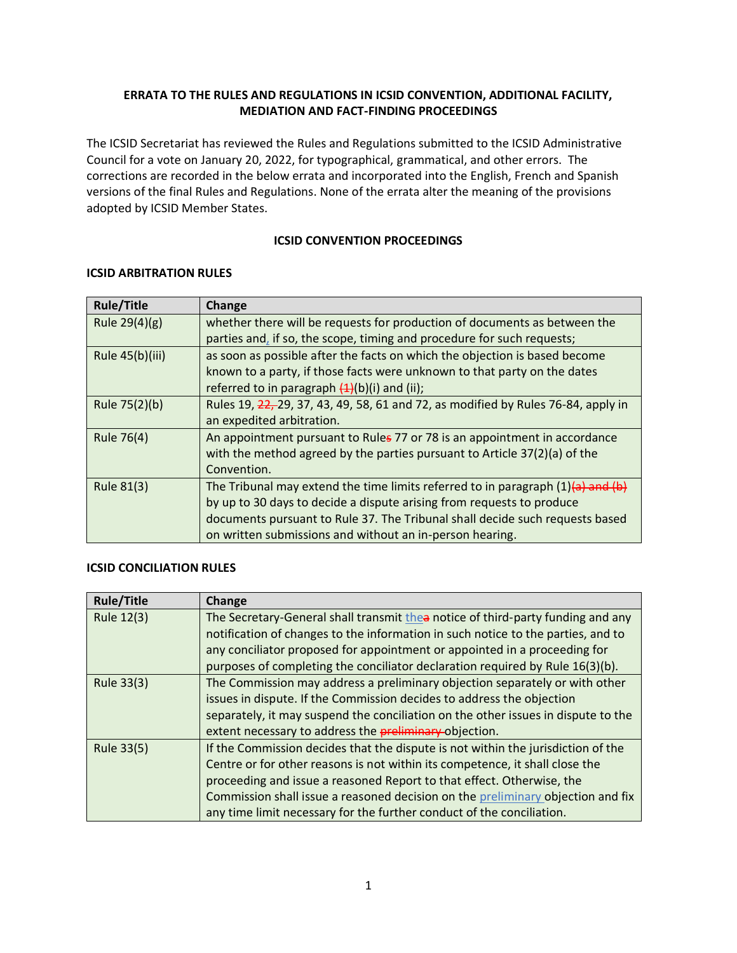## **ERRATA TO THE RULES AND REGULATIONS IN ICSID CONVENTION, ADDITIONAL FACILITY, MEDIATION AND FACT-FINDING PROCEEDINGS**

The ICSID Secretariat has reviewed the Rules and Regulations submitted to the ICSID Administrative Council for a vote on January 20, 2022, for typographical, grammatical, and other errors. The corrections are recorded in the below errata and incorporated into the English, French and Spanish versions of the final Rules and Regulations. None of the errata alter the meaning of the provisions adopted by ICSID Member States.

### **ICSID CONVENTION PROCEEDINGS**

| <b>Rule/Title</b> | Change                                                                              |
|-------------------|-------------------------------------------------------------------------------------|
| Rule $29(4)(g)$   | whether there will be requests for production of documents as between the           |
|                   | parties and, if so, the scope, timing and procedure for such requests;              |
| Rule 45(b)(iii)   | as soon as possible after the facts on which the objection is based become          |
|                   | known to a party, if those facts were unknown to that party on the dates            |
|                   | referred to in paragraph $(4)(b)(i)$ and (ii);                                      |
| Rule 75(2)(b)     | Rules 19, 22, 29, 37, 43, 49, 58, 61 and 72, as modified by Rules 76-84, apply in   |
|                   | an expedited arbitration.                                                           |
| Rule 76(4)        | An appointment pursuant to Rules 77 or 78 is an appointment in accordance           |
|                   | with the method agreed by the parties pursuant to Article 37(2)(a) of the           |
|                   | Convention.                                                                         |
| <b>Rule 81(3)</b> | The Tribunal may extend the time limits referred to in paragraph $(1)(a)$ and $(b)$ |
|                   | by up to 30 days to decide a dispute arising from requests to produce               |
|                   | documents pursuant to Rule 37. The Tribunal shall decide such requests based        |
|                   | on written submissions and without an in-person hearing.                            |

#### **ICSID ARBITRATION RULES**

### **ICSID CONCILIATION RULES**

| <b>Rule/Title</b> | Change                                                                            |
|-------------------|-----------------------------------------------------------------------------------|
| Rule 12(3)        | The Secretary-General shall transmit thea notice of third-party funding and any   |
|                   | notification of changes to the information in such notice to the parties, and to  |
|                   | any conciliator proposed for appointment or appointed in a proceeding for         |
|                   | purposes of completing the conciliator declaration required by Rule 16(3)(b).     |
| Rule 33(3)        | The Commission may address a preliminary objection separately or with other       |
|                   | issues in dispute. If the Commission decides to address the objection             |
|                   | separately, it may suspend the conciliation on the other issues in dispute to the |
|                   | extent necessary to address the preliminary-objection.                            |
| Rule 33(5)        | If the Commission decides that the dispute is not within the jurisdiction of the  |
|                   | Centre or for other reasons is not within its competence, it shall close the      |
|                   | proceeding and issue a reasoned Report to that effect. Otherwise, the             |
|                   | Commission shall issue a reasoned decision on the preliminary objection and fix   |
|                   | any time limit necessary for the further conduct of the conciliation.             |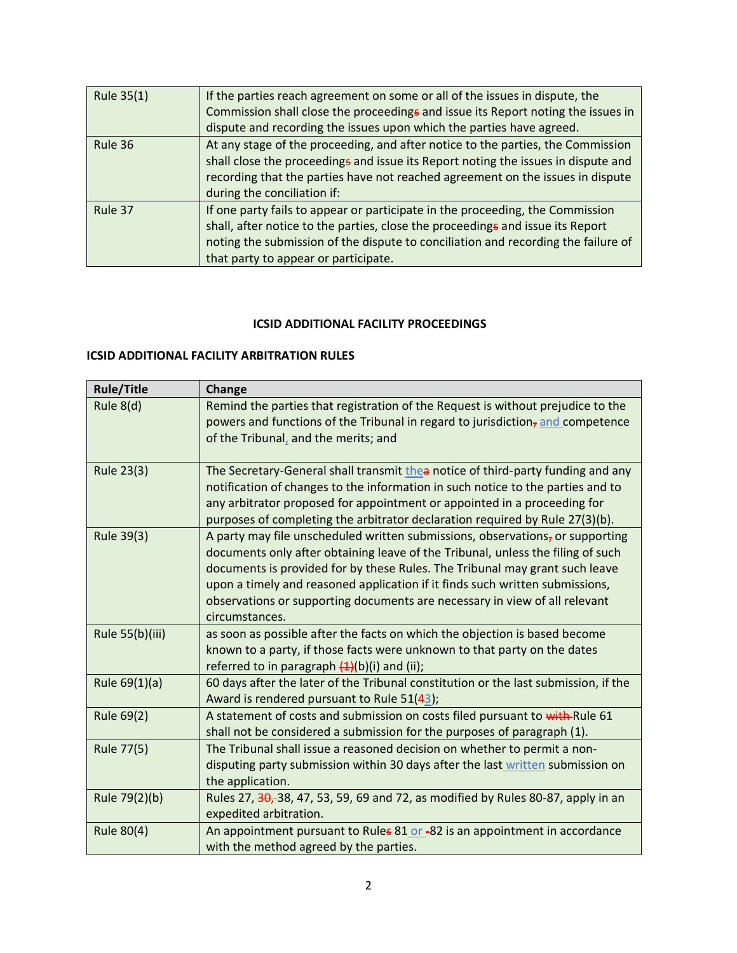| Rule 35(1) | If the parties reach agreement on some or all of the issues in dispute, the<br>Commission shall close the proceedings and issue its Report noting the issues in<br>dispute and recording the issues upon which the parties have agreed.                                                      |
|------------|----------------------------------------------------------------------------------------------------------------------------------------------------------------------------------------------------------------------------------------------------------------------------------------------|
| Rule 36    | At any stage of the proceeding, and after notice to the parties, the Commission<br>shall close the proceedings and issue its Report noting the issues in dispute and<br>recording that the parties have not reached agreement on the issues in dispute<br>during the conciliation if:        |
| Rule 37    | If one party fails to appear or participate in the proceeding, the Commission<br>shall, after notice to the parties, close the proceedings and issue its Report<br>noting the submission of the dispute to conciliation and recording the failure of<br>that party to appear or participate. |

## **ICSID ADDITIONAL FACILITY PROCEEDINGS**

# **ICSID ADDITIONAL FACILITY ARBITRATION RULES**

| <b>Rule/Title</b> | Change                                                                                                                                                                                                                                                                                                                                                                                                                          |
|-------------------|---------------------------------------------------------------------------------------------------------------------------------------------------------------------------------------------------------------------------------------------------------------------------------------------------------------------------------------------------------------------------------------------------------------------------------|
| Rule 8(d)         | Remind the parties that registration of the Request is without prejudice to the<br>powers and functions of the Tribunal in regard to jurisdiction <sub>z</sub> and competence<br>of the Tribunal, and the merits; and                                                                                                                                                                                                           |
| Rule 23(3)        | The Secretary-General shall transmit thea notice of third-party funding and any<br>notification of changes to the information in such notice to the parties and to<br>any arbitrator proposed for appointment or appointed in a proceeding for<br>purposes of completing the arbitrator declaration required by Rule 27(3)(b).                                                                                                  |
| Rule 39(3)        | A party may file unscheduled written submissions, observations, or supporting<br>documents only after obtaining leave of the Tribunal, unless the filing of such<br>documents is provided for by these Rules. The Tribunal may grant such leave<br>upon a timely and reasoned application if it finds such written submissions,<br>observations or supporting documents are necessary in view of all relevant<br>circumstances. |
| Rule 55(b)(iii)   | as soon as possible after the facts on which the objection is based become<br>known to a party, if those facts were unknown to that party on the dates<br>referred to in paragraph $(1)(b)(i)$ and (ii);                                                                                                                                                                                                                        |
| Rule 69(1)(a)     | 60 days after the later of the Tribunal constitution or the last submission, if the<br>Award is rendered pursuant to Rule 51(43);                                                                                                                                                                                                                                                                                               |
| Rule 69(2)        | A statement of costs and submission on costs filed pursuant to with-Rule 61<br>shall not be considered a submission for the purposes of paragraph (1).                                                                                                                                                                                                                                                                          |
| Rule 77(5)        | The Tribunal shall issue a reasoned decision on whether to permit a non-<br>disputing party submission within 30 days after the last written submission on<br>the application.                                                                                                                                                                                                                                                  |
| Rule 79(2)(b)     | Rules 27, 30, 38, 47, 53, 59, 69 and 72, as modified by Rules 80-87, apply in an<br>expedited arbitration.                                                                                                                                                                                                                                                                                                                      |
| Rule 80(4)        | An appointment pursuant to Rules 81 or -82 is an appointment in accordance<br>with the method agreed by the parties.                                                                                                                                                                                                                                                                                                            |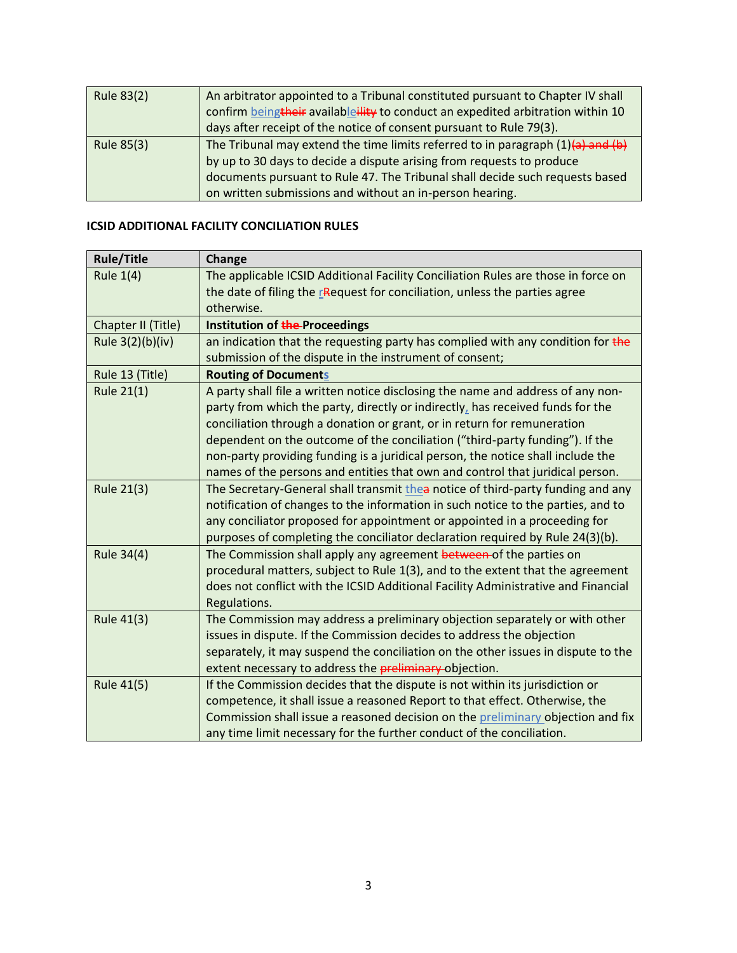| Rule 83(2) | An arbitrator appointed to a Tribunal constituted pursuant to Chapter IV shall      |
|------------|-------------------------------------------------------------------------------------|
|            | confirm beingtheir availableility to conduct an expedited arbitration within 10     |
|            | days after receipt of the notice of consent pursuant to Rule 79(3).                 |
| Rule 85(3) | The Tribunal may extend the time limits referred to in paragraph $(1)(a)$ and $(b)$ |
|            | by up to 30 days to decide a dispute arising from requests to produce               |
|            | documents pursuant to Rule 47. The Tribunal shall decide such requests based        |
|            | on written submissions and without an in-person hearing.                            |

# **ICSID ADDITIONAL FACILITY CONCILIATION RULES**

| <b>Rule/Title</b>  | Change                                                                            |
|--------------------|-----------------------------------------------------------------------------------|
| <b>Rule 1(4)</b>   | The applicable ICSID Additional Facility Conciliation Rules are those in force on |
|                    | the date of filing the rRequest for conciliation, unless the parties agree        |
|                    | otherwise.                                                                        |
| Chapter II (Title) | Institution of the Proceedings                                                    |
| Rule 3(2)(b)(iv)   | an indication that the requesting party has complied with any condition for the   |
|                    | submission of the dispute in the instrument of consent;                           |
| Rule 13 (Title)    | <b>Routing of Documents</b>                                                       |
| Rule 21(1)         | A party shall file a written notice disclosing the name and address of any non-   |
|                    | party from which the party, directly or indirectly, has received funds for the    |
|                    | conciliation through a donation or grant, or in return for remuneration           |
|                    | dependent on the outcome of the conciliation ("third-party funding"). If the      |
|                    | non-party providing funding is a juridical person, the notice shall include the   |
|                    | names of the persons and entities that own and control that juridical person.     |
| <b>Rule 21(3)</b>  | The Secretary-General shall transmit thea notice of third-party funding and any   |
|                    | notification of changes to the information in such notice to the parties, and to  |
|                    | any conciliator proposed for appointment or appointed in a proceeding for         |
|                    | purposes of completing the conciliator declaration required by Rule 24(3)(b).     |
| <b>Rule 34(4)</b>  | The Commission shall apply any agreement between of the parties on                |
|                    | procedural matters, subject to Rule 1(3), and to the extent that the agreement    |
|                    | does not conflict with the ICSID Additional Facility Administrative and Financial |
|                    | Regulations.                                                                      |
| Rule 41(3)         | The Commission may address a preliminary objection separately or with other       |
|                    | issues in dispute. If the Commission decides to address the objection             |
|                    | separately, it may suspend the conciliation on the other issues in dispute to the |
|                    | extent necessary to address the preliminary-objection.                            |
| <b>Rule 41(5)</b>  | If the Commission decides that the dispute is not within its jurisdiction or      |
|                    | competence, it shall issue a reasoned Report to that effect. Otherwise, the       |
|                    | Commission shall issue a reasoned decision on the preliminary objection and fix   |
|                    | any time limit necessary for the further conduct of the conciliation.             |